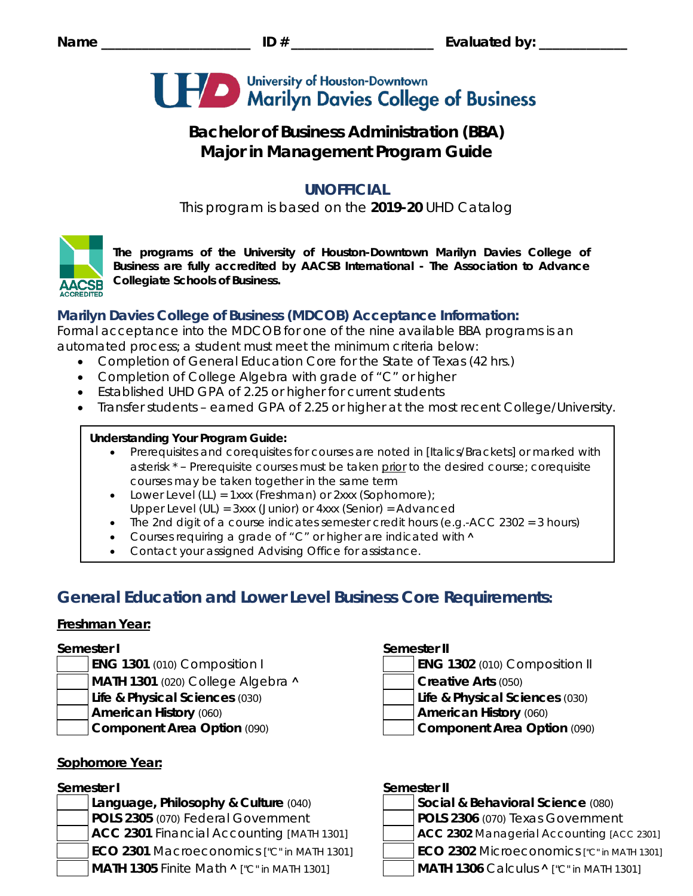

# **Bachelor of Business Administration (BBA) Major in Management Program Guide**

## **UNOFFICIAL**

This program is based on the **2019-20** UHD Catalog



*The programs of the University of Houston-Downtown Marilyn Davies College of Business are fully accredited by AACSB International - The Association to Advance Collegiate Schools of Business.*

## **Marilyn Davies College of Business (MDCOB) Acceptance Information:**

Formal acceptance into the MDCOB for one of the nine available BBA programs is an automated process; a student must meet the minimum criteria below:

- Completion of General Education Core for the State of Texas (42 hrs.)
- Completion of College Algebra with grade of "C" or higher
- Established UHD GPA of 2.25 or higher for current students
- Transfer students earned GPA of 2.25 or higher at the most recent College/University.

### **Understanding Your Program Guide:**

- Prerequisites and corequisites for courses are noted in *[Italics/Brackets]* or marked with asterisk \* – Prerequisite courses must be taken prior to the desired course; corequisite courses may be taken together in the same term
- Lower Level (LL) = 1xxx (Freshman) or 2xxx (Sophomore);
- Upper Level (UL) = 3xxx (Junior) or 4xxx (Senior) = Advanced
- The 2nd digit of a course indicates semester credit hours (e.g.-ACC 2302 = 3 hours)
- Courses requiring a grade of "C" or higher are indicated with  $\land$
- Contact your assigned Advising Office for assistance.

# **General Education and Lower Level Business Core Requirements:**

### **Freshman Year:**

- 
- **MATH 1301** (020) College Algebra **˄ Creative Arts** (050)
- **Life & Physical Sciences** (030) **Life & Physical Sciences** (030)
- 
- 

### **Sophomore Year:**

**Language, Philosophy & Culture (040) POLS 2305** (070) Federal Government **POLS 2306** (070) Texas Government **ACC 2301** Financial Accounting *[MATH 1301]* **ACC 2302** Managerial Accounting *[ACC 2301]* **ECO 2301** Macroeconomics *["C" in MATH 1301]* **ECO 2302** Microeconomics *["C" in MATH 1301]* **MATH 1305** Finite Math **˄** *["C" in MATH 1301]* **MATH 1306** Calculus **˄** *["C" in MATH 1301]*

### **Semester I Semester II**

- **ENG 1301** (010) Composition I **ENG 1302** (010) Composition II
	-
	-
- **American History** (060) **American History** (060)
- **Component Area Option** (090) **Component Area Option** (090)

### **Semester I Semester II**

| Social & Behavioral Science (080) |
|-----------------------------------|
| $\overline{R}$                    |

- 
- 
- -